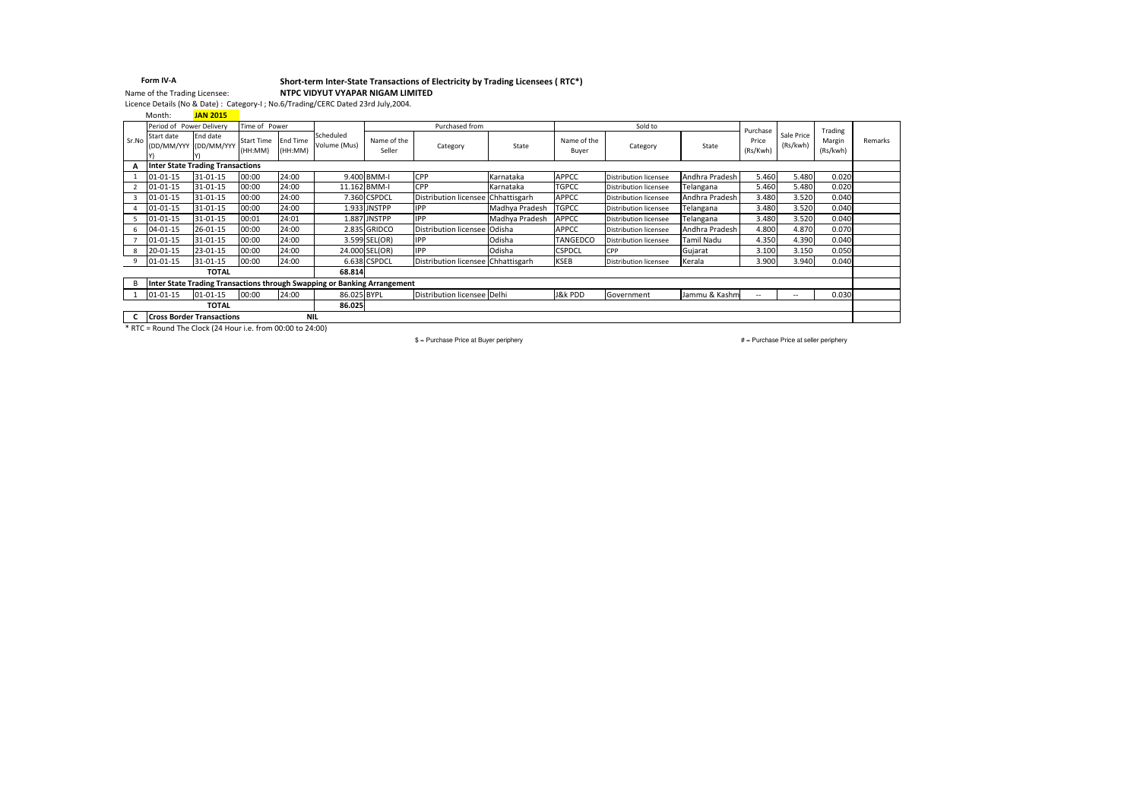#### Short-term Inter-State Transactions of Electricity by Trading Licensees ( RTC\*)NTPC VIDYUT VYAPAR NIGAM LIMITED Form IV-AName of the Trading Licensee:

Licence Details (No & Date) : Category-I ; No.6/Trading/CERC Dated 23rd July,2004.

JAN 2015Month:

|       | Period of Power Delivery            |                                         | Time of Power                |                           |                                                                          |                       | Purchased from                     |                |                      | Sold to                      |                | Purchase          |                          | Trading            |         |
|-------|-------------------------------------|-----------------------------------------|------------------------------|---------------------------|--------------------------------------------------------------------------|-----------------------|------------------------------------|----------------|----------------------|------------------------------|----------------|-------------------|--------------------------|--------------------|---------|
| Sr.No | Start date<br>(DD/MM/YYY (DD/MM/YYY | End date                                | <b>Start Time</b><br>(HH:MM) | <b>End Time</b><br>HH:MM) | Scheduled<br>Volume (Mus)                                                | Name of the<br>Seller | Category                           | State          | Name of the<br>Buyer | Category                     | State          | Price<br>(Rs/Kwh) | Sale Price<br>(Rs/kwh)   | Margin<br>(Rs/kwh) | Remarks |
|       |                                     | <b>Inter State Trading Transactions</b> |                              |                           |                                                                          |                       |                                    |                |                      |                              |                |                   |                          |                    |         |
|       | $01 - 01 - 15$                      | 31-01-15                                | 00:00                        | 24:00                     |                                                                          | 9.400 BMM-I           | CPP                                | Karnataka      | <b>APPCC</b>         | <b>Distribution licensee</b> | Andhra Pradesh | 5.460             | 5.480                    | 0.020              |         |
|       | $01 - 01 - 15$                      | 31-01-15                                | 00:00                        | 24:00                     |                                                                          | 11.162 BMM-I          | CPP                                | Karnataka      | <b>TGPCC</b>         | <b>Distribution licensee</b> | Telangana      | 5.460             | 5.480                    | 0.020              |         |
|       | $01 - 01 - 15$                      | 31-01-15                                | 00:00                        | 24:00                     |                                                                          | 7.360 CSPDCL          | Distribution licensee Chhattisgarh |                | <b>APPCC</b>         | Distribution licensee        | Andhra Pradesh | 3.480             | 3.520                    | 0.040              |         |
|       | $01 - 01 - 15$                      | 31-01-15                                | 00:00                        | 24:00                     |                                                                          | 1.933 JNSTPP          | <b>IPP</b>                         | Madhya Pradesh | <b>TGPCC</b>         | <b>Distribution licensee</b> | Telangana      | 3.480             | 3.520                    | 0.040              |         |
|       | $01 - 01 - 15$                      | 31-01-15                                | 00:01                        | 24:01                     |                                                                          | 1.887 JNSTPP          | <b>IPP</b>                         | Madhya Pradesh | <b>APPCC</b>         | <b>Distribution licensee</b> | Telangana      | 3.480             | 3.520                    | 0.040              |         |
|       | 04-01-15                            | $26 - 01 - 15$                          | 00:00                        | 24:00                     |                                                                          | 2.835 GRIDCO          | Distribution licensee Odisha       |                | <b>APPCC</b>         | <b>Distribution licensee</b> | Andhra Pradesh | 4.800             | 4.870                    | 0.070              |         |
|       | $01 - 01 - 15$                      | 31-01-15                                | 00:00                        | 24:00                     |                                                                          | 3.599 SEL(OR)         | <b>IPP</b>                         | Odisha         | TANGEDCO             | <b>Distribution licensee</b> | Tamil Nadu     | 4.350             | 4.390                    | 0.040              |         |
|       | $20 - 01 - 15$                      | 23-01-15                                | 00:00                        | 24:00                     |                                                                          | 24.000 SEL(OR)        | <b>IPP</b>                         | Odisha         | <b>CSPDCL</b>        | CPP                          | Gujarat        | 3.100             | 3.150                    | 0.050              |         |
|       | $01 - 01 - 15$                      | 31-01-15                                | 00:00                        | 24:00                     |                                                                          | 6.638 CSPDCL          | Distribution licensee Chhattisgarh |                | <b>KSEB</b>          | Distribution licensee        | Kerala         | 3.900             | 3.940                    | 0.040              |         |
|       |                                     | <b>TOTAL</b>                            |                              |                           | 68.814                                                                   |                       |                                    |                |                      |                              |                |                   |                          |                    |         |
|       |                                     |                                         |                              |                           | Inter State Trading Transactions through Swapping or Banking Arrangement |                       |                                    |                |                      |                              |                |                   |                          |                    |         |
|       | 01-01-15                            | $01 - 01 - 15$                          | 00:00                        | 24:00                     | 86.025 BYPL                                                              |                       | Distribution licensee Delhi        |                | J&k PDD              | Government                   | Jammu & Kashm  | $-$               | $\overline{\phantom{a}}$ | 0.030              |         |
|       |                                     | <b>TOTAL</b>                            |                              |                           | 86.025                                                                   |                       |                                    |                |                      |                              |                |                   |                          |                    |         |
|       | <b>Cross Border Transactions</b>    |                                         |                              | <b>NIL</b>                |                                                                          |                       |                                    |                |                      |                              |                |                   |                          |                    |         |

C Cross Border Transactions MIL<br>\* RTC = Round The Clock (24 Hour i.e. from 00:00 to 24:00)

\$ = Purchase Price at Buyer periphery

# = Purchase Price at seller periphery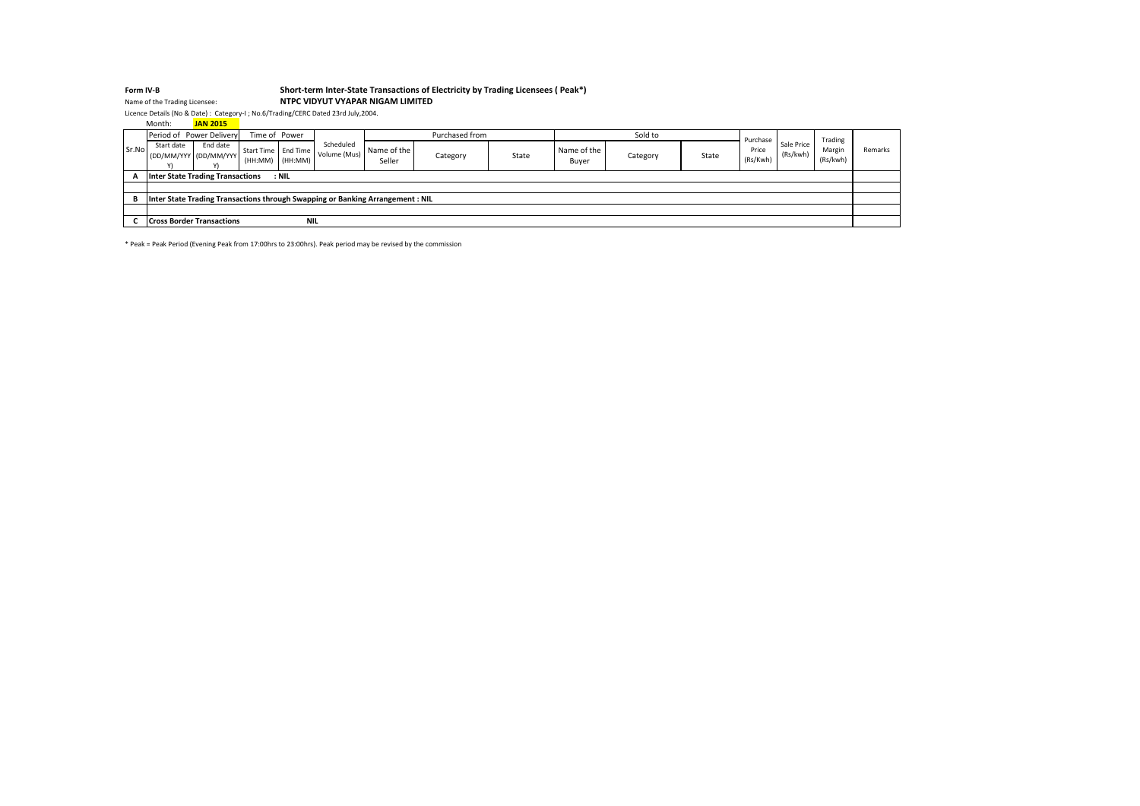### Form IV-BShort-term Inter-State Transactions of Electricity by Trading Licensees ( Peak\*)

# Name of the Trading Licensee: NTPC VIDYUT VYAPAR NIGAM LIMITED

Licence Details (No & Date) : Category-I ; No.6/Trading/CERC Dated 23rd July,2004.

|                                                | Month:     | <b>JAN 2015</b>                         |               |         |                                                              |                                                                                |                |       |                      |          |       |                   |                        |                    |         |
|------------------------------------------------|------------|-----------------------------------------|---------------|---------|--------------------------------------------------------------|--------------------------------------------------------------------------------|----------------|-------|----------------------|----------|-------|-------------------|------------------------|--------------------|---------|
|                                                |            | Period of Power Delivery                | Time of Power |         |                                                              |                                                                                | Purchased from |       |                      | Sold to  |       | Purchase          |                        | Trading            |         |
| Sr.No                                          | Start date | End date<br>(DD/MM/YYY (DD/MM/YYY)      | (HH:MM)       | (HH:MM) | Scheduled<br>____ Start Time   End Time   Volume (Mus)   IVC | Name of the I<br>Seller                                                        | Category       | State | Name of the<br>Buyer | Category | State | Price<br>(Rs/Kwh) | Sale Price<br>(Rs/kwh) | Margin<br>(Rs/kwh) | Remarks |
| А                                              |            | <b>Inter State Trading Transactions</b> |               | $:$ NIL |                                                              |                                                                                |                |       |                      |          |       |                   |                        |                    |         |
|                                                |            |                                         |               |         |                                                              |                                                                                |                |       |                      |          |       |                   |                        |                    |         |
| в                                              |            |                                         |               |         |                                                              | Inter State Trading Transactions through Swapping or Banking Arrangement : NIL |                |       |                      |          |       |                   |                        |                    |         |
|                                                |            |                                         |               |         |                                                              |                                                                                |                |       |                      |          |       |                   |                        |                    |         |
| <b>NIL</b><br><b>Cross Border Transactions</b> |            |                                         |               |         |                                                              |                                                                                |                |       |                      |          |       |                   |                        |                    |         |

\* Peak = Peak Period (Evening Peak from 17:00hrs to 23:00hrs). Peak period may be revised by the commission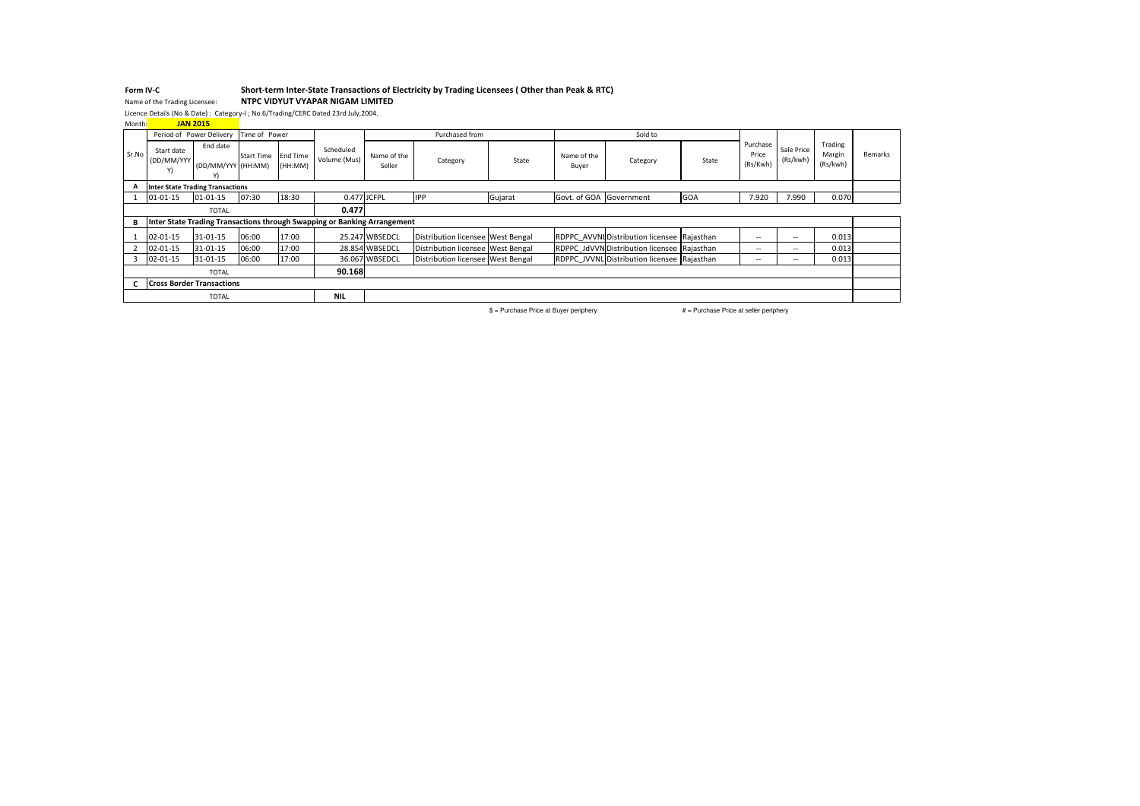### Form IV-CForm IV-C<br>Name of the Trading Licensee: Short-term Inter-State Transactions of Electricity by Trading Licensees (Other than Peak & RTC)

Name of the Trading Licensee: NTPC VIDYUT VYAPAR NIGAM LIMITED

Licence Details (No & Date) : Category-I ; No.6/Trading/CERC Dated 23rd July,2004.

| Month: |                                         | <b>JAN 2015</b>                |                   |                     |                                                                          |                       |                                   |         |                         |                                             |       |                               |                          |                               |         |
|--------|-----------------------------------------|--------------------------------|-------------------|---------------------|--------------------------------------------------------------------------|-----------------------|-----------------------------------|---------|-------------------------|---------------------------------------------|-------|-------------------------------|--------------------------|-------------------------------|---------|
|        | Period of Power Delivery                |                                | Time of Power     |                     |                                                                          |                       | Purchased from                    |         |                         | Sold to                                     |       |                               |                          |                               |         |
| Sr.No  | Start date<br>(DD/MM/YYY<br>Y)          | End date<br>(DD/MM/YYY (HH:MM) | <b>Start Time</b> | End Time<br>(HH:MM) | Scheduled<br>Volume (Mus)                                                | Name of the<br>Seller | Category                          | State   | Name of the<br>Buyer    | Category                                    | State | Purchase<br>Price<br>(Rs/Kwh) | Sale Price<br>(Rs/kwh)   | Trading<br>Margin<br>(Rs/kwh) | Remarks |
|        | <b>Inter State Trading Transactions</b> |                                |                   |                     |                                                                          |                       |                                   |         |                         |                                             |       |                               |                          |                               |         |
|        | 01-01-15                                | $01 - 01 - 15$                 | 07:30             | 18:30               | 0.477 JCFPL                                                              |                       | <b>IPP</b>                        | Gujarat | Govt. of GOA Government |                                             | GOA   | 7.920                         | 7.990                    | 0.070                         |         |
|        |                                         | <b>TOTAL</b>                   |                   |                     | 0.477                                                                    |                       |                                   |         |                         |                                             |       |                               |                          |                               |         |
| В      |                                         |                                |                   |                     | Inter State Trading Transactions through Swapping or Banking Arrangement |                       |                                   |         |                         |                                             |       |                               |                          |                               |         |
|        | 02-01-15                                | 31-01-15                       | 06:00             | 17:00               |                                                                          | 25.247 WBSEDCL        | Distribution licensee West Bengal |         |                         | RDPPC AVVNI Distribution licensee Rajasthan |       | $\sim$                        | $- -$                    | 0.013                         |         |
|        | 02-01-15                                | 31-01-15                       | 06:00             | 17:00               |                                                                          | 28.854 WBSEDCL        | Distribution licensee West Bengal |         |                         | RDPPC JdVVN Distribution licensee Rajasthan |       | $\sim$                        | $- -$                    | 0.013                         |         |
|        | 02-01-15                                | 31-01-15                       | 06:00             | 17:00               |                                                                          | 36.067 WBSEDCL        | Distribution licensee West Bengal |         |                         | RDPPC JVVNL Distribution licensee Rajasthan |       | $\sim$                        | $\overline{\phantom{a}}$ | 0.013                         |         |
|        |                                         | <b>TOTAL</b>                   |                   |                     | 90.168                                                                   |                       |                                   |         |                         |                                             |       |                               |                          |                               |         |
|        | <b>Cross Border Transactions</b>        |                                |                   |                     |                                                                          |                       |                                   |         |                         |                                             |       |                               |                          |                               |         |
|        | <b>NIL</b><br><b>TOTAL</b>              |                                |                   |                     |                                                                          |                       |                                   |         |                         |                                             |       |                               |                          |                               |         |

\$ = Purchase Price at Buyer periphery # = Purchase Price at seller periphery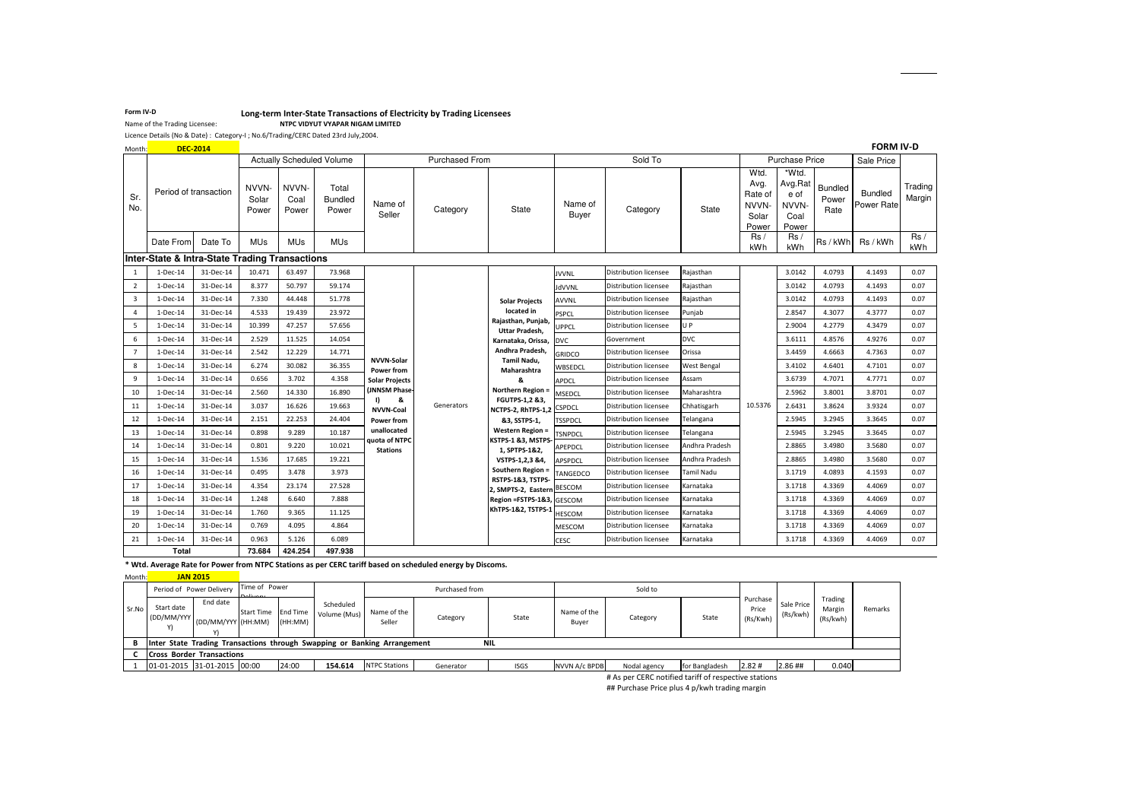# Form IV-D<br>Name of the Trading Licensees<br>Name of the Trading Licensee: Name CHIDYUT VYAPAR NIGAM LIMITED

NTPC VIDYUT VYAPAR NIGAM LIMITED

Licence Details (No & Date) : Category-I ; No.6/Trading/CERC Dated 23rd July,2004.

| Month:         | <b>DEC-2014</b>       |                                                |                         |                        |                                  |                                 |                       |                                                |                  |                              |                   |                                                    |                                                    |                          | <b>FORM IV-D</b>             |                   |
|----------------|-----------------------|------------------------------------------------|-------------------------|------------------------|----------------------------------|---------------------------------|-----------------------|------------------------------------------------|------------------|------------------------------|-------------------|----------------------------------------------------|----------------------------------------------------|--------------------------|------------------------------|-------------------|
|                |                       |                                                |                         |                        | <b>Actually Scheduled Volume</b> |                                 | <b>Purchased From</b> |                                                |                  | Sold To                      |                   |                                                    | <b>Purchase Price</b>                              |                          | Sale Price                   |                   |
| Sr.<br>No.     | Period of transaction |                                                | NVVN-<br>Solar<br>Power | NVVN-<br>Coal<br>Power | Total<br>Bundled<br>Power        | Name of<br>Seller               | Category              | State                                          | Name of<br>Buyer | Category                     | State             | Wtd.<br>Avg.<br>Rate of<br>NVVN-<br>Solar<br>Power | *Wtd.<br>Avg.Rat<br>e of<br>NVVN-<br>Coal<br>Power | Bundled<br>Power<br>Rate | <b>Bundled</b><br>Power Rate | Trading<br>Margin |
|                | Date From             | Date To                                        | <b>MUs</b>              | <b>MU<sub>s</sub></b>  | <b>MUs</b>                       |                                 |                       |                                                |                  |                              |                   | Rs/<br>kWh                                         | Rs/<br>kWh                                         | Rs / kWh                 | Rs / kWh                     | Rs/<br>kWh        |
|                |                       | Inter-State & Intra-State Trading Transactions |                         |                        |                                  |                                 |                       |                                                |                  |                              |                   |                                                    |                                                    |                          |                              |                   |
| 1              | 1-Dec-14              | 31-Dec-14                                      | 10.471                  | 63.497                 | 73.968                           |                                 |                       |                                                | <b>JVVNL</b>     | <b>Distribution licensee</b> | Rajasthan         |                                                    | 3.0142                                             | 4.0793                   | 4.1493                       | 0.07              |
| $\overline{2}$ | 1-Dec-14              | 31-Dec-14                                      | 8.377                   | 50.797                 | 59.174                           |                                 |                       |                                                | JdVVNL           | <b>Distribution licensee</b> | Rajasthan         |                                                    | 3.0142                                             | 4.0793                   | 4.1493                       | 0.07              |
| 3              | 1-Dec-14              | 31-Dec-14                                      | 7.330                   | 44.448                 | 51.778                           |                                 |                       | <b>Solar Projects</b>                          | <b>AVVNL</b>     | <b>Distribution licensee</b> | Rajasthan         |                                                    | 3.0142                                             | 4.0793                   | 4.1493                       | 0.07              |
| 4              | 1-Dec-14              | 31-Dec-14                                      | 4.533                   | 19.439                 | 23.972                           |                                 |                       | located in                                     | <b>PSPCL</b>     | <b>Distribution licensee</b> | Punjab            |                                                    | 2.8547                                             | 4.3077                   | 4.3777                       | 0.07              |
| 5              | 1-Dec-14              | 31-Dec-14                                      | 10.399                  | 47.257                 | 57.656                           |                                 |                       | Rajasthan, Punjab,<br><b>Uttar Pradesh,</b>    | <b>UPPCL</b>     | <b>Distribution licensee</b> | U P               |                                                    | 2.9004                                             | 4.2779                   | 4.3479                       | 0.07              |
| 6              | 1-Dec-14              | 31-Dec-14                                      | 2.529                   | 11.525                 | 14.054                           |                                 |                       | Karnataka, Orissa,                             | <b>DVC</b>       | Government                   | <b>DVC</b>        |                                                    | 3.6111                                             | 4.8576                   | 4.9276                       | 0.07              |
| $\overline{7}$ | 1-Dec-14              | 31-Dec-14                                      | 2.542                   | 12.229                 | 14.771                           |                                 |                       | Andhra Pradesh,                                | GRIDCO           | Distribution licensee        | Orissa            |                                                    | 3.4459                                             | 4.6663                   | 4.7363                       | 0.07              |
| 8              | 1-Dec-14              | 31-Dec-14                                      | 6.274                   | 30.082                 | 36.355                           | <b>NVVN-Solar</b><br>Power from |                       | Tamil Nadu,<br>Maharashtra                     | WBSEDCL          | <b>Distribution licensee</b> | West Bengal       |                                                    | 3.4102                                             | 4.6401                   | 4.7101                       | 0.07              |
| 9              | 1-Dec-14              | 31-Dec-14                                      | 0.656                   | 3.702                  | 4.358                            | <b>Solar Projects</b>           |                       | 8                                              | <b>APDCL</b>     | Distribution licensee        | Assam             |                                                    | 3.6739                                             | 4.7071                   | 4.7771                       | 0.07              |
| 10             | 1-Dec-14              | 31-Dec-14                                      | 2.560                   | 14.330                 | 16.890                           | (JNNSM Phase-<br>I)<br>&        |                       | Northern Region =<br><b>FGUTPS-1,2 &amp;3,</b> | <b>MSEDCL</b>    | <b>Distribution licensee</b> | Maharashtra       |                                                    | 2.5962                                             | 3.8001                   | 3.8701                       | 0.07              |
| 11             | 1-Dec-14              | 31-Dec-14                                      | 3.037                   | 16.626                 | 19.663                           | <b>NVVN-Coal</b>                | Generators            | NCTPS-2, RhTPS-1,2                             | <b>CSPDCL</b>    | Distribution licensee        | Chhatisgarh       | 10.5376                                            | 2.6431                                             | 3.8624                   | 3.9324                       | 0.07              |
| 12             | 1-Dec-14              | 31-Dec-14                                      | 2.151                   | 22.253                 | 24.404                           | <b>Power from</b>               |                       | &3, SSTPS-1,                                   | <b>TSSPDCL</b>   | Distribution licensee        | Telangana         |                                                    | 2.5945                                             | 3.2945                   | 3.3645                       | 0.07              |
| 13             | 1-Dec-14              | 31-Dec-14                                      | 0.898                   | 9.289                  | 10.187                           | unallocated<br>quota of NTPC    |                       | <b>Western Region =</b><br>KSTPS-1 &3, MSTPS-  | <b>TSNPDCL</b>   | <b>Distribution licensee</b> | Telangana         |                                                    | 2.5945                                             | 3.2945                   | 3.3645                       | 0.07              |
| 14             | 1-Dec-14              | 31-Dec-14                                      | 0.801                   | 9.220                  | 10.021                           | <b>Stations</b>                 |                       | 1, SPTPS-1&2,                                  | APEPDCL          | Distribution licensee        | Andhra Pradesh    |                                                    | 2.8865                                             | 3.4980                   | 3.5680                       | 0.07              |
| 15             | 1-Dec-14              | 31-Dec-14                                      | 1.536                   | 17.685                 | 19.221                           |                                 |                       | VSTPS-1,2,3 &4,                                | <b>APSPDCL</b>   | <b>Distribution licensee</b> | Andhra Pradesh    |                                                    | 2.8865                                             | 3.4980                   | 3.5680                       | 0.07              |
| 16             | 1-Dec-14              | 31-Dec-14                                      | 0.495                   | 3.478                  | 3.973                            |                                 |                       | Southern Region =<br>RSTPS-1&3, TSTPS-         | TANGEDCO         | <b>Distribution licensee</b> | <b>Tamil Nadu</b> |                                                    | 3.1719                                             | 4.0893                   | 4.1593                       | 0.07              |
| 17             | 1-Dec-14              | 31-Dec-14                                      | 4.354                   | 23.174                 | 27.528                           |                                 |                       | 2, SMPTS-2, Eastern BESCOM                     |                  | Distribution licensee        | Karnataka         |                                                    | 3.1718                                             | 4.3369                   | 4.4069                       | 0.07              |
| 18             | 1-Dec-14              | 31-Dec-14                                      | 1.248                   | 6.640                  | 7.888                            |                                 |                       | Region =FSTPS-1&3, GESCOM                      |                  | <b>Distribution licensee</b> | Karnataka         |                                                    | 3.1718                                             | 4.3369                   | 4.4069                       | 0.07              |
| 19             | 1-Dec-14              | 31-Dec-14                                      | 1.760                   | 9.365                  | 11.125                           |                                 |                       | KhTPS-1&2, TSTPS-1                             | <b>HESCOM</b>    | <b>Distribution licensee</b> | Karnataka         |                                                    | 3.1718                                             | 4.3369                   | 4.4069                       | 0.07              |
| 20             | 1-Dec-14              | 31-Dec-14                                      | 0.769                   | 4.095                  | 4.864                            |                                 |                       |                                                | <b>MESCOM</b>    | <b>Distribution licensee</b> | Karnataka         |                                                    | 3.1718                                             | 4.3369                   | 4.4069                       | 0.07              |
| 21             | 1-Dec-14              | 31-Dec-14                                      | 0.963                   | 5.126                  | 6.089                            |                                 |                       |                                                | <b>CESC</b>      | <b>Distribution licensee</b> | Karnataka         |                                                    | 3.1718                                             | 4.3369                   | 4.4069                       | 0.07              |
|                | Total                 |                                                | 73.684                  | 424.254                | 497.938                          |                                 |                       |                                                |                  |                              |                   |                                                    |                                                    |                          |                              |                   |

\* Wtd. Average Rate for Power from NTPC Stations as per CERC tariff based on scheduled energy by Discoms.

Month: **JAN 2015** 

| . <u>.</u> | ---------                        |                                |                           |                     |                                                                          |                       |                |             |                      |              |                |                               |                        |                               |         |
|------------|----------------------------------|--------------------------------|---------------------------|---------------------|--------------------------------------------------------------------------|-----------------------|----------------|-------------|----------------------|--------------|----------------|-------------------------------|------------------------|-------------------------------|---------|
|            | Period of Power Delivery         |                                | Time of Power<br>مستقلدها |                     |                                                                          |                       | Purchased from |             |                      | Sold to      |                |                               |                        |                               |         |
| Sr.No      | Start date<br>(DD/MM/YYY         | End date<br>(DD/MM/YYY (HH:MM) | <b>Start Time</b>         | End Time<br>(HH:MM) | Scheduled<br>Volume (Mus)                                                | Name of the<br>Seller | Category       | State       | Name of the<br>Buyer | Category     | State          | Purchase<br>Price<br>(Rs/Kwh) | Sale Price<br>(Rs/kwh) | Trading<br>Margin<br>(Rs/kwh) | Remarks |
| R          |                                  |                                |                           |                     | Inter State Trading Transactions through Swapping or Banking Arrangement |                       |                | <b>NIL</b>  |                      |              |                |                               |                        |                               |         |
|            | <b>Cross Border Transactions</b> |                                |                           |                     |                                                                          |                       |                |             |                      |              |                |                               |                        |                               |         |
|            | 01-01-2015 31-01-2015 00:00      |                                |                           | 24:00               | 154.614                                                                  | <b>NTPC Stations</b>  | Generator      | <b>ISGS</b> | <b>NVVN A/c BPDB</b> | Nodal agency | for Bangladesh | 2.82#                         | 2.86 ##                | 0.040                         |         |
|            |                                  |                                |                           |                     |                                                                          |                       |                |             |                      |              |                |                               |                        |                               |         |

# As per CERC notified tariff of respective stations

## Purchase Price plus 4 p/kwh trading margin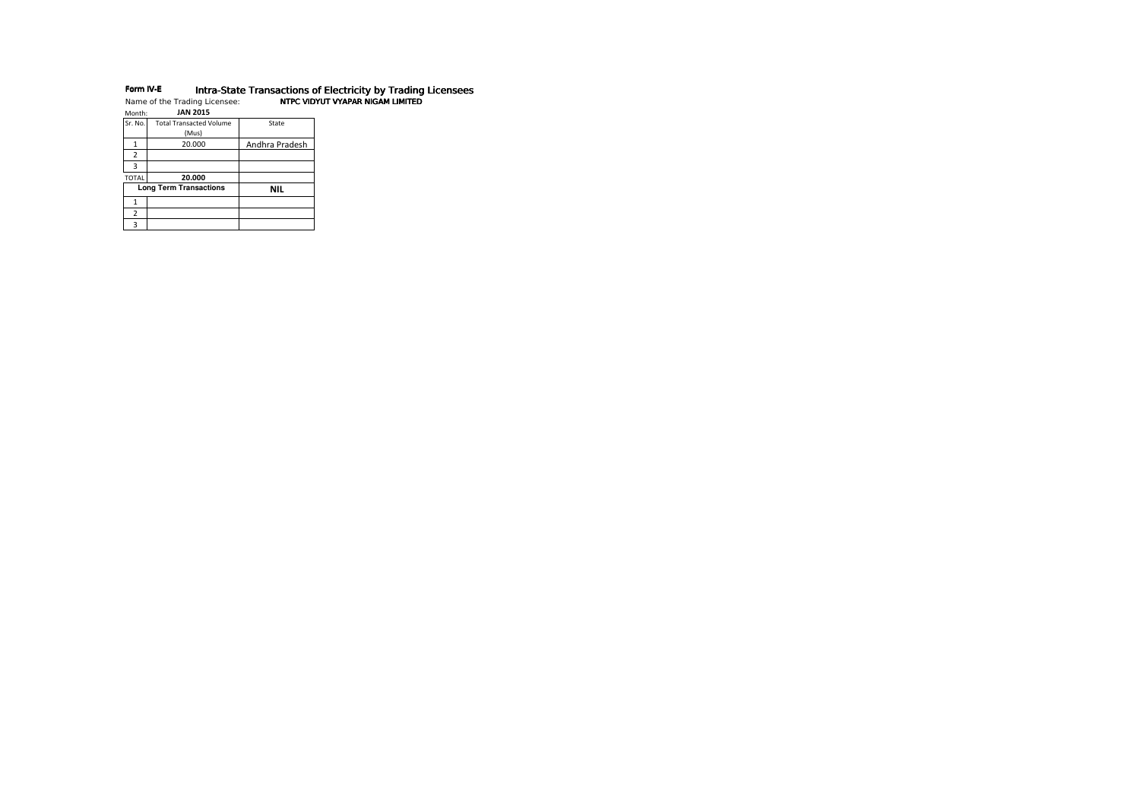# **Form IV-E lntra-State Transactions of Electricity by Trading Licensees**<br>Name of the Trading Licensee: **NTPC VIDYUT VYAPAR NIGAM LIMITED**

| Month:         | <b>JAN 2015</b>                |                |
|----------------|--------------------------------|----------------|
| Sr. No.        | <b>Total Transacted Volume</b> | State          |
|                | (Mus)                          |                |
|                | 20.000                         | Andhra Pradesh |
| $\overline{2}$ |                                |                |
| з              |                                |                |
| <b>TOTAL</b>   | 20.000                         |                |
|                | <b>Long Term Transactions</b>  | <b>NIL</b>     |
|                |                                |                |
| $\overline{2}$ |                                |                |
|                |                                |                |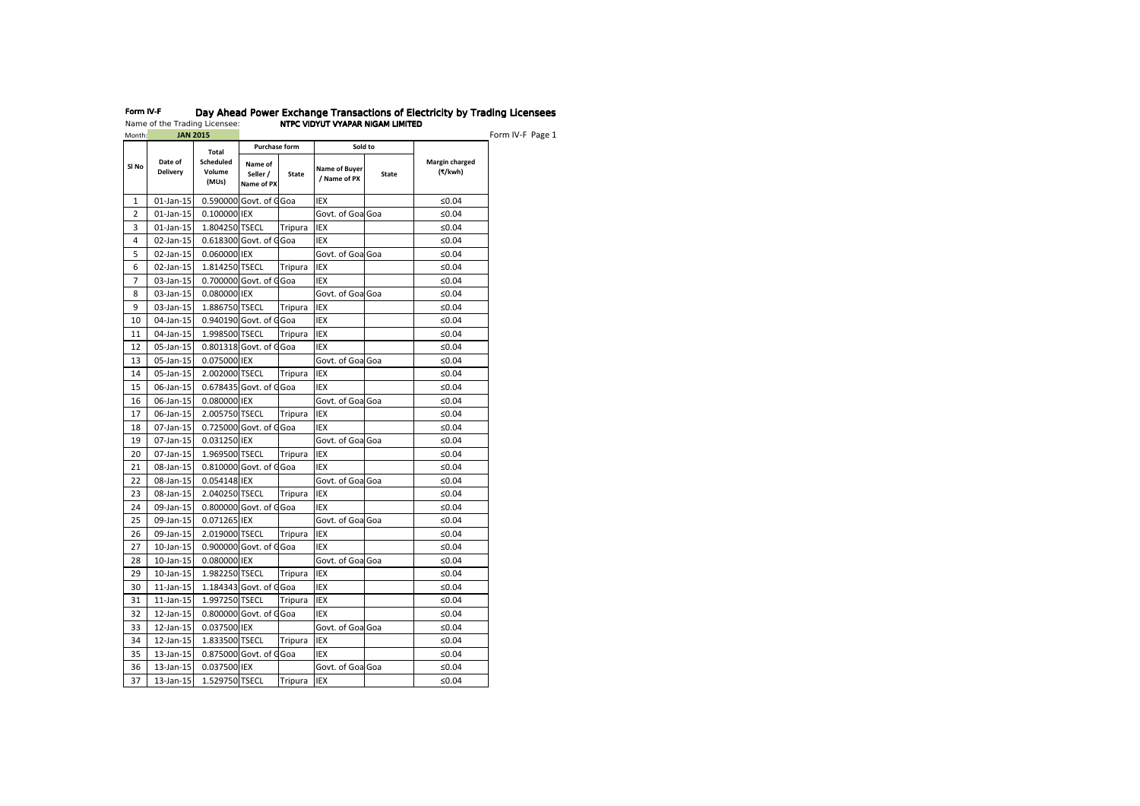| Month:         | <b>JAN 2015</b>            |                                     |                                   |                |                               |              |                           |
|----------------|----------------------------|-------------------------------------|-----------------------------------|----------------|-------------------------------|--------------|---------------------------|
|                |                            | Total                               | <b>Purchase form</b>              |                | Sold to                       |              |                           |
| SI No          | Date of<br><b>Delivery</b> | <b>Scheduled</b><br>Volume<br>(MUs) | Name of<br>Seller /<br>Name of PX | <b>State</b>   | Name of Buyer<br>/ Name of PX | <b>State</b> | Margin charged<br>(₹/kwh) |
| 1              | $01$ -Jan-15               |                                     | 0.590000 Govt. of G               | Goa            | <b>IEX</b>                    |              | ≤0.04                     |
| $\overline{2}$ | 01-Jan-15                  | 0.100000 IEX                        |                                   |                | Govt. of Goa Goa              |              | ≤ $0.04$                  |
| 3              | 01-Jan-15                  | 1.804250 TSECL                      |                                   | Tripura        | <b>IEX</b>                    |              | ≤0.04                     |
| 4              | 02-Jan-15                  |                                     | 0.618300 Govt. of G               | Goa            | <b>IEX</b>                    |              | ≤0.04                     |
| 5              | 02-Jan-15                  | 0.060000 IEX                        |                                   |                | Govt. of Goal Goa             |              | ≤0.04                     |
| 6              | 02-Jan-15                  | 1.814250 TSECL                      |                                   | Tripura        | IEX                           |              | ≤0.04                     |
| 7              | 03-Jan-15                  |                                     | 0.700000 Govt. of G               | Goa            | <b>IEX</b>                    |              | ≤ $0.04$                  |
| 8              | 03-Jan-15                  | 0.080000 IEX                        |                                   |                | Govt. of Goa Goa              |              | ≤0.04                     |
| 9              | 03-Jan-15                  | 1.886750 TSECL                      |                                   | Tripura        | IEX                           |              | ≤0.04                     |
| 10             | 04-Jan-15                  |                                     | 0.940190 Govt. of G               | Goa            | <b>IEX</b>                    |              | ≤0.04                     |
| 11             | 04-Jan-15                  | 1.998500 TSECL                      |                                   | Tripura        | IEX                           |              | ≤0.04                     |
| 12             | 05-Jan-15                  |                                     | 0.801318 Govt. of G               | Goa            | <b>IEX</b>                    |              | ≤0.04                     |
| 13             | 05-Jan-15                  | 0.075000 IEX                        |                                   |                | Govt. of Goa Goa              |              | ≤ $0.04$                  |
| 14             | 05-Jan-15                  | 2.002000 TSECL                      |                                   | Tripura        | <b>IEX</b>                    |              | ≤0.04                     |
| 15             | 06-Jan-15                  |                                     | 0.678435 Govt. of GGoa            |                | <b>IEX</b>                    |              | ≤0.04                     |
| 16             | 06-Jan-15                  | 0.080000 IEX                        |                                   |                | Govt. of Goa Goa              |              | ≤0.04                     |
| 17             | 06-Jan-15                  | 2.005750 TSECL                      |                                   | Tripura        | <b>IEX</b>                    |              | ≤0.04                     |
| 18             | 07-Jan-15                  |                                     | 0.725000 Govt. of G               | Goa            | <b>IEX</b>                    |              | ≤ $0.04$                  |
| 19             | 07-Jan-15                  | 0.031250 IEX                        |                                   |                | Govt. of GoalGoa              |              | ≤0.04                     |
| 20             | 07-Jan-15                  | 1.969500 TSECL                      |                                   | Tripura        | <b>IEX</b>                    |              | ≤ $0.04$                  |
| 21             | 08-Jan-15                  |                                     | 0.810000 Govt. of G               | Goa            | <b>IEX</b>                    |              | ≤ $0.04$                  |
| 22             | 08-Jan-15                  | 0.054148 IEX                        |                                   |                | Govt. of Goa Goa              |              | ≤0.04                     |
| 23             | 08-Jan-15                  | 2.040250 TSECL                      |                                   | Tripura        | <b>IEX</b>                    |              | ≤ $0.04$                  |
| 24             | 09-Jan-15                  |                                     | 0.800000 Govt. of G               | Goa            | <b>IEX</b>                    |              | ≤0.04                     |
| 25             | 09-Jan-15                  | 0.071265 IEX                        |                                   |                | Govt. of Goa Goa              |              | ≤ $0.04$                  |
| 26             | 09-Jan-15                  | 2.019000 TSECL                      |                                   | Tripura        | <b>IEX</b>                    |              | ≤0.04                     |
| 27             | 10-Jan-15                  |                                     | 0.900000 Govt. of G               | Goa            | <b>IEX</b>                    |              | ≤0.04                     |
| 28             | $10$ -Jan- $15$            | 0.080000 IEX                        |                                   |                | Govt. of Goa Goa              |              | ≤ $0.04$                  |
| 29             | 10-Jan-15                  | 1.982250 TSECL                      |                                   | Tripura        | <b>IEX</b>                    |              | ≤0.04                     |
| 30             | $11$ -Jan- $15$            |                                     | 1.184343 Govt. of GGoa            |                | <b>IEX</b>                    |              | ≤0.04                     |
| 31             | $11$ -Jan- $15$            | 1.997250 TSECL                      |                                   | <b>Tripura</b> | IEX                           |              | ≤0.04                     |
| 32             | 12-Jan-15                  |                                     | 0.800000 Govt. of G               | Goa            | <b>IEX</b>                    |              | ≤0.04                     |
| 33             | 12-Jan-15                  | 0.037500 IEX                        |                                   |                | Govt. of Goa Goa              |              | ≤ $0.04$                  |
| 34             | 12-Jan-15                  | 1.833500 TSECL                      |                                   | Tripura        | IEX                           |              | ≤ $0.04$                  |
| 35             | 13-Jan-15                  |                                     | 0.875000 Govt. of G               | Goa            | <b>IEX</b>                    |              | ≤0.04                     |
| 36             | 13-Jan-15                  | 0.037500 IEX                        |                                   |                | Govt. of Goa Goa              |              | ≤0.04                     |
| 37             | 13-Jan-15                  | 1.529750 TSECL                      |                                   | Tripura        | IEX                           |              | ≤0.04                     |

# Form IV-F Day Ahead Power Exchange Transactions of Electricity by Trading Licensees Name of the Trading Licensee: NTPC VIDYUT VYAPAR NIGAM LIMITED NTPC VIDYUT VYAPAR LIMITEDn IV-F Page 1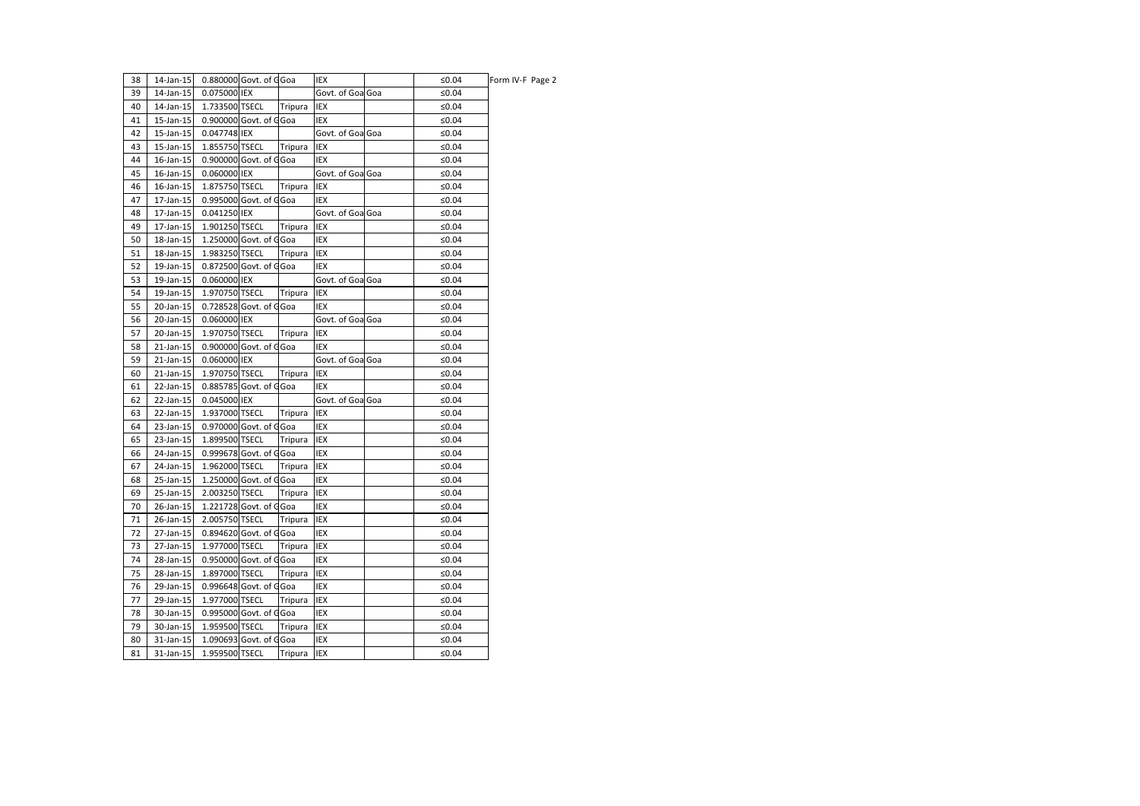| 38 | 14-Jan-15 |                | 0.880000 Govt. of GGoa |         | IEX              | ≤0.04    | Form IV-F Page 2 |
|----|-----------|----------------|------------------------|---------|------------------|----------|------------------|
| 39 | 14-Jan-15 | 0.075000 IEX   |                        |         | Govt. of Goa Goa | ≤ $0.04$ |                  |
| 40 | 14-Jan-15 | 1.733500 TSECL |                        | Tripura | IEX              | ≤0.04    |                  |
| 41 | 15-Jan-15 |                | 0.900000 Govt. of GGoa |         | IEX              | ≤0.04    |                  |
| 42 | 15-Jan-15 | 0.047748 IEX   |                        |         | Govt. of Goa Goa | ≤0.04    |                  |
| 43 | 15-Jan-15 | 1.855750 TSECL |                        | Tripura | IEX              | ≤0.04    |                  |
| 44 | 16-Jan-15 |                | 0.900000 Govt. of GGoa |         | IEX              | ≤ $0.04$ |                  |
| 45 | 16-Jan-15 | 0.060000 IEX   |                        |         | Govt. of Goa Goa | ≤0.04    |                  |
| 46 | 16-Jan-15 | 1.875750 TSECL |                        | Tripura | IEX              | ≤0.04    |                  |
| 47 | 17-Jan-15 |                | 0.995000 Govt. of GGoa |         | IEX              | ≤0.04    |                  |
| 48 | 17-Jan-15 | 0.041250 IEX   |                        |         | Govt. of Goa Goa | ≤0.04    |                  |
| 49 | 17-Jan-15 | 1.901250 TSECL |                        | Tripura | IEX              | ≤ $0.04$ |                  |
| 50 | 18-Jan-15 |                | 1.250000 Govt. of GGoa |         | IEX              | ≤ $0.04$ |                  |
| 51 | 18-Jan-15 | 1.983250 TSECL |                        | Tripura | IEX              | ≤0.04    |                  |
| 52 | 19-Jan-15 |                | 0.872500 Govt. of GGoa |         | IEX              | ≤ $0.04$ |                  |
| 53 | 19-Jan-15 | 0.060000 IEX   |                        |         | Govt. of Goa Goa | ≤0.04    |                  |
| 54 | 19-Jan-15 | 1.970750 TSECL |                        | Tripura | IEX              | ≤0.04    |                  |
| 55 | 20-Jan-15 |                | 0.728528 Govt. of GGoa |         | IEX              | ≤0.04    |                  |
| 56 | 20-Jan-15 | 0.060000 IEX   |                        |         | Govt. of Goa Goa | ≤0.04    |                  |
| 57 | 20-Jan-15 | 1.970750 TSECL |                        | Tripura | IEX              | ≤0.04    |                  |
| 58 | 21-Jan-15 |                | 0.900000 Govt. of GGoa |         | IEX              | ≤0.04    |                  |
| 59 | 21-Jan-15 | 0.060000 IEX   |                        |         | Govt. of Goa Goa | ≤0.04    |                  |
| 60 | 21-Jan-15 | 1.970750 TSECL |                        | Tripura | IEX              | ≤ $0.04$ |                  |
| 61 | 22-Jan-15 |                | 0.885785 Govt. of GGoa |         | IEX              | ≤0.04    |                  |
| 62 | 22-Jan-15 | 0.045000 IEX   |                        |         | Govt. of Goa Goa | ≤ $0.04$ |                  |
| 63 | 22-Jan-15 | 1.937000 TSECL |                        | Tripura | IEX              | ≤0.04    |                  |
| 64 | 23-Jan-15 |                | 0.970000 Govt. of GGoa |         | IEX              | ≤0.04    |                  |
| 65 | 23-Jan-15 | 1.899500 TSECL |                        | Tripura | IEX              | ≤0.04    |                  |
| 66 | 24-Jan-15 |                | 0.999678 Govt. of GGoa |         | IEX              | ≤0.04    |                  |
| 67 | 24-Jan-15 | 1.962000 TSECL |                        | Tripura | IEX              | ≤ $0.04$ |                  |
| 68 | 25-Jan-15 |                | 1.250000 Govt. of GGoa |         | IEX              | ≤0.04    |                  |
| 69 | 25-Jan-15 | 2.003250 TSECL |                        | Tripura | IEX              | ≤0.04    |                  |
| 70 | 26-Jan-15 |                | 1.221728 Govt. of GGoa |         | IEX              | ≤0.04    |                  |
| 71 | 26-Jan-15 | 2.005750 TSECL |                        | Tripura | IEX              | ≤0.04    |                  |
| 72 | 27-Jan-15 |                | 0.894620 Govt. of G    | Goa     | IEX              | ≤ $0.04$ |                  |
| 73 | 27-Jan-15 | 1.977000 TSECL |                        | Tripura | IEX              | ≤0.04    |                  |
| 74 | 28-Jan-15 |                | 0.950000 Govt. of GGoa |         | IEX              | ≤0.04    |                  |
| 75 | 28-Jan-15 | 1.897000 TSECL |                        | Tripura | IEX              | ≤0.04    |                  |
| 76 | 29-Jan-15 |                | 0.996648 Govt. of G    | Goa     | IEX              | ≤0.04    |                  |
| 77 | 29-Jan-15 | 1.977000 TSECL |                        | Tripura | IEX              | ≤0.04    |                  |
| 78 | 30-Jan-15 |                | 0.995000 Govt. of GGoa |         | IEX              | ≤0.04    |                  |
| 79 | 30-Jan-15 | 1.959500 TSECL |                        | Tripura | IEX              | ≤0.04    |                  |
| 80 | 31-Jan-15 |                | 1.090693 Govt. of GGoa |         | IEX              | ≤0.04    |                  |
| 81 | 31-Jan-15 | 1.959500 TSECL |                        | Tripura | IEX              | ≤0.04    |                  |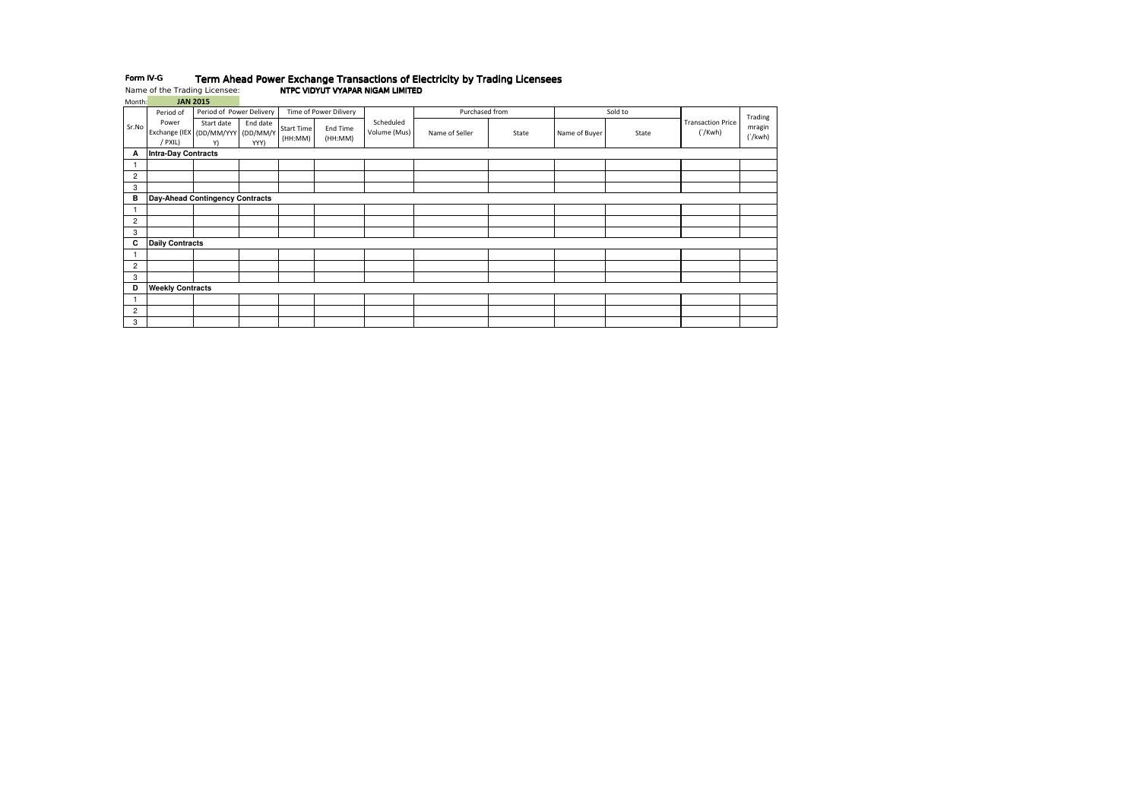## Form IV-GTerm Ahead Power Exchange Transactions of Electricity by Trading Licensees Name of the Trading Licensee: NTPC VIDYUT VYAPAR NIGAM LIMITED NTPC VIDYUT VYAPAR LIMITED

Month: JAN 2015

|                | Period of                                             | Period of Power Delivery |                  |                              | Time of Power Dilivery |                           | Purchased from |       |               | Sold to |                                     | Trading           |
|----------------|-------------------------------------------------------|--------------------------|------------------|------------------------------|------------------------|---------------------------|----------------|-------|---------------|---------|-------------------------------------|-------------------|
| Sr.No          | Power<br>Exchange (IEX (DD/MM/YYY (DD/MM/Y<br>/ PXIL) | Start date<br>Y)         | End date<br>YYY) | <b>Start Time</b><br>(HH:MM) | End Time<br>(HH:MM)    | Scheduled<br>Volume (Mus) | Name of Seller | State | Name of Buyer | State   | <b>Transaction Price</b><br>('/Kwh) | mragin<br>('/kwh) |
| A              | <b>Intra-Day Contracts</b>                            |                          |                  |                              |                        |                           |                |       |               |         |                                     |                   |
|                |                                                       |                          |                  |                              |                        |                           |                |       |               |         |                                     |                   |
| $\overline{c}$ |                                                       |                          |                  |                              |                        |                           |                |       |               |         |                                     |                   |
| 3              |                                                       |                          |                  |                              |                        |                           |                |       |               |         |                                     |                   |
| в              | Day-Ahead Contingency Contracts                       |                          |                  |                              |                        |                           |                |       |               |         |                                     |                   |
|                |                                                       |                          |                  |                              |                        |                           |                |       |               |         |                                     |                   |
| $\overline{2}$ |                                                       |                          |                  |                              |                        |                           |                |       |               |         |                                     |                   |
| 3              |                                                       |                          |                  |                              |                        |                           |                |       |               |         |                                     |                   |
| C              | <b>Daily Contracts</b>                                |                          |                  |                              |                        |                           |                |       |               |         |                                     |                   |
|                |                                                       |                          |                  |                              |                        |                           |                |       |               |         |                                     |                   |
| $\overline{2}$ |                                                       |                          |                  |                              |                        |                           |                |       |               |         |                                     |                   |
| 3              |                                                       |                          |                  |                              |                        |                           |                |       |               |         |                                     |                   |
| D              | <b>Weekly Contracts</b>                               |                          |                  |                              |                        |                           |                |       |               |         |                                     |                   |
|                |                                                       |                          |                  |                              |                        |                           |                |       |               |         |                                     |                   |
| $\overline{2}$ |                                                       |                          |                  |                              |                        |                           |                |       |               |         |                                     |                   |
| 3              |                                                       |                          |                  |                              |                        |                           |                |       |               |         |                                     |                   |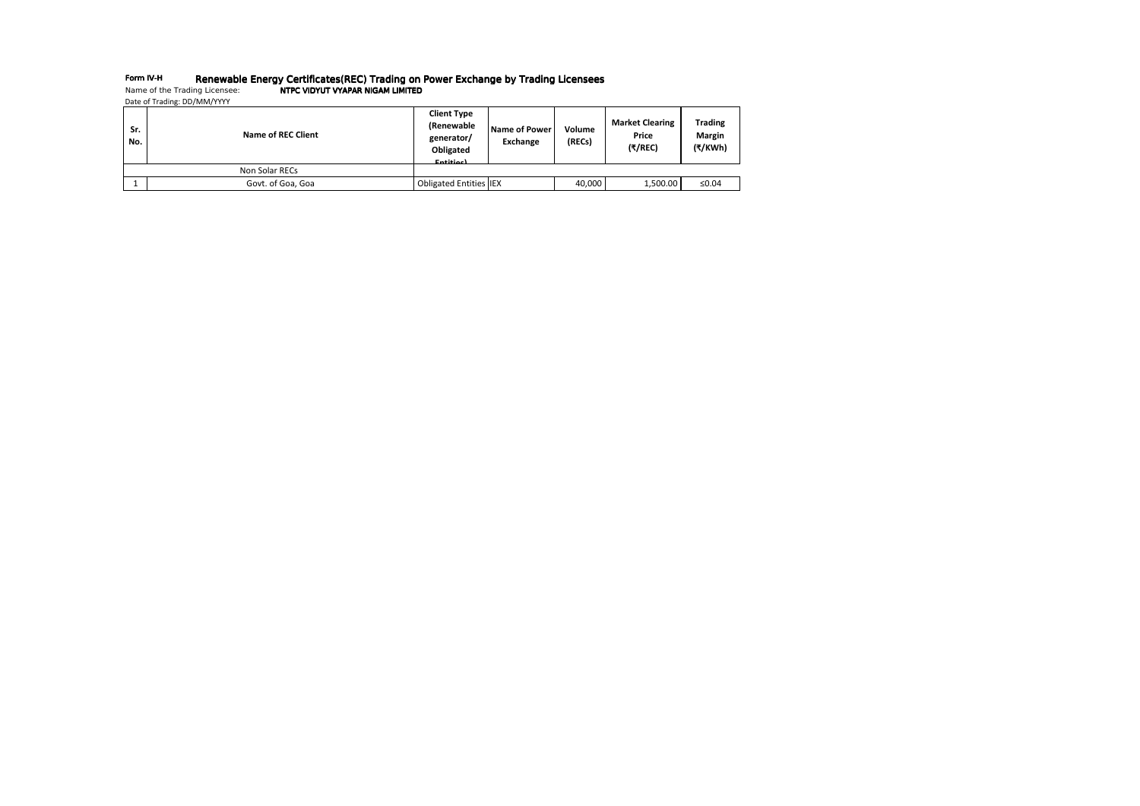## Form IV-HRenewable Energy Certificates(REC) Trading on Power Exchange by Trading Licensees Name of the Trading Licensee: NTPC VIDYUT VYAPAR NIGAM LIMITED NTPC VIDYUT VYAPAR LIMITED

Date of Trading: DD/MM/YYYY

| Sr.<br>No. | Name of REC Client | <b>Client Type</b><br>(Renewable<br>generator/<br>Obligated<br>Entitiec) | Name of Power<br><b>Exchange</b> | Volume<br>(RECs) | <b>Market Clearing</b><br>Price<br>(₹/REC) | <b>Trading</b><br><b>Margin</b><br>(₹/KWh) |
|------------|--------------------|--------------------------------------------------------------------------|----------------------------------|------------------|--------------------------------------------|--------------------------------------------|
|            | Non Solar RECs     |                                                                          |                                  |                  |                                            |                                            |
|            | Govt. of Goa, Goa  | <b>Obligated Entities IEX</b>                                            |                                  | 40,000           | 1,500.00                                   | ≤0.04                                      |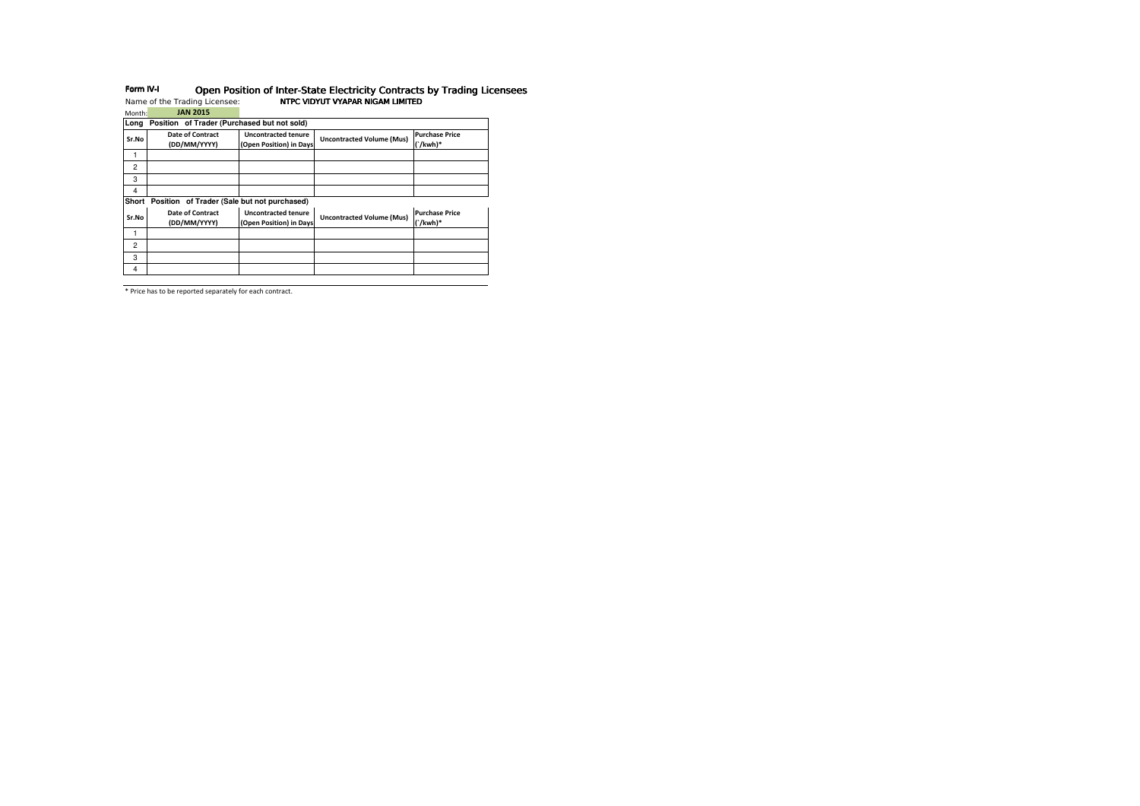| Month:         | <b>JAN 2015</b>                             |                                                       |                                  |                                     |
|----------------|---------------------------------------------|-------------------------------------------------------|----------------------------------|-------------------------------------|
| Long           | Position of Trader (Purchased but not sold) |                                                       |                                  |                                     |
| Sr.No          | <b>Date of Contract</b><br>(DD/MM/YYYY)     | <b>Uncontracted tenure</b><br>(Open Position) in Days | <b>Uncontracted Volume (Mus)</b> | <b>Purchase Price</b><br>$('/kwh)*$ |
|                |                                             |                                                       |                                  |                                     |
| $\overline{c}$ |                                             |                                                       |                                  |                                     |
| 3              |                                             |                                                       |                                  |                                     |
| 4              |                                             |                                                       |                                  |                                     |
| Short          | Position of Trader (Sale but not purchased) |                                                       |                                  |                                     |
|                |                                             |                                                       |                                  | <b>Purchase Price</b>               |
| Sr.No          | Date of Contract<br>(DD/MM/YYYY)            | <b>Uncontracted tenure</b><br>(Open Position) in Days | <b>Uncontracted Volume (Mus)</b> | $('/kwh)*$                          |
|                |                                             |                                                       |                                  |                                     |
| $\overline{c}$ |                                             |                                                       |                                  |                                     |
| 3              |                                             |                                                       |                                  |                                     |

# Form IV-I Open Position of Inter-State Electricity Contracts by Trading Licensees Name of the Trading Licensee: NTPC VIDYUT VYAPAR NIGAM LIMITED NTPC VIDYUT VYAPAR LIMITED

\* Price has to be reported separately for each contract.